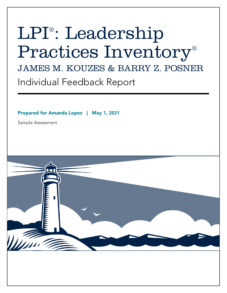# LPI® : Leadership Practices Inventory® JAMES M. KOUZES & BARRY Z. POSNER Individual Feedback Report

Prepared for Amanda Lopez | May 1, **2021**

Sample Assessment

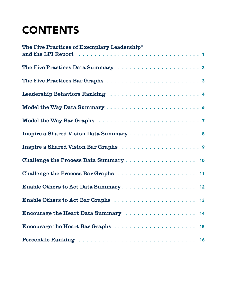# **CONTENTS**

| The Five Practices of Exemplary Leadership <sup>®</sup> |
|---------------------------------------------------------|
|                                                         |
|                                                         |
| Leadership Behaviors Ranking  4                         |
|                                                         |
|                                                         |
|                                                         |
|                                                         |
|                                                         |
|                                                         |
|                                                         |
|                                                         |
|                                                         |
|                                                         |
|                                                         |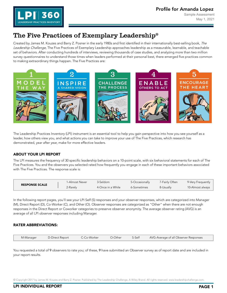

# <span id="page-2-0"></span>The Five Practices of Exemplary Leadership®

Created by James M. Kouzes and Barry Z. Posner in the early 1980s and first identified in their internationally best-selling book, The Leadership Challenge, The Five Practices of Exemplary Leadership approaches leadership as a measurable, learnable, and teachable set of behaviors. After conducting hundreds of interviews, reviewing thousands of case studies, and analyzing more than two million survey questionnaires to understand those times when leaders performed at their personal best, there emerged five practices common to making extraordinary things happen. The Five Practices are:



The Leadership Practices Inventory (LPI) instrument is an essential tool to help you gain perspective into how you see yourself as a leader, how others view you, and what actions you can take to improve your use of The Five Practices, which research has demonstrated, year after year, make for more effective leaders.

#### ABOUT YOUR LPI REPORT

The LPI measures the frequency of 30 specific leadership behaviors on a 10-point scale, with six behavioral statements for each of The Five Practices. You and the observers you selected rated how frequently you engage in each of these important behaviors associated with The Five Practices. The response scale is:

| <b>RESPONSE SCALE</b> | 1-Almost Never | 3-Seldom          | 5-Occasionally | 7-Fairly Often | 9-Very Frequently |
|-----------------------|----------------|-------------------|----------------|----------------|-------------------|
|                       | 2-Rarely       | 4-Once in a While | √6-Sometimes   | 8-Usually      | 10-Almost always  |

In the following report pages, you'll see your LPI Self (S) responses and your observer responses, which are categorized into Manager (M), Direct Report (D), Co-Worker (C), and Other (O). Observer responses are categorized as "Other" when there are not enough responses in the Direct Report or Coworker categories to preserve observer anonymity. The average observer rating (AVG) is an average of all LPI observer responses including Manager.

#### RATER ABBREVIATIONS:

| M-Manager<br>D-Direct Report | C-Co-Worker |  |  | O-Other S-Self AVG-Average of all Observer Responses |
|------------------------------|-------------|--|--|------------------------------------------------------|
|------------------------------|-------------|--|--|------------------------------------------------------|

You requested a total of 9 observers to rate you; of these, 9 have submitted an Observer survey as of report date and are included in your report results.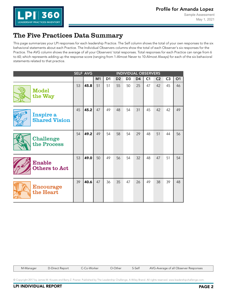

# <span id="page-3-0"></span>The Five Practices Data Summary

This page summarizes your LPI responses for each leadership Practice. The Self column shows the total of your own responses to the six behavioral statements about each Practice. The Individual Observers columns show the total of each Observer's six responses for the Practice. The AVG column shows the average of all your Observers' total responses. Total responses for each Practice can range from 6 to 60; which represents adding up the response score (ranging from 1-Almost Never to 10-Almost Always) for each of the six behavioral statements related to that practice.

|                                       | <b>SELF AVG</b><br><b>INDIVIDUAL OBSERVERS</b> |      |                |                |                |                |                |                |                |                |    |
|---------------------------------------|------------------------------------------------|------|----------------|----------------|----------------|----------------|----------------|----------------|----------------|----------------|----|
|                                       |                                                |      | M <sub>1</sub> | D <sub>1</sub> | D <sub>2</sub> | D <sub>3</sub> | D <sub>4</sub> | C <sub>1</sub> | C <sub>2</sub> | C <sub>3</sub> | O1 |
| <b>Model</b><br>the Way               | 53                                             | 45.8 | 51             | 51             | 55             | 50             | 25             | 47             | 42             | 45             | 46 |
| Inspire a<br><b>Shared Vision</b>     | 45                                             | 45.2 | 47             | 49             | 48             | 54             | 31             | 45             | 42             | 42             | 49 |
| <b>Challenge</b><br>the Process       | 54                                             | 49.2 | 49             | 54             | 58             | 54             | 29             | 48             | 51             | 44             | 56 |
| <b>Enable</b><br><b>Others to Act</b> | 53                                             | 49.0 | 50             | 49             | 56             | 54             | 32             | 48             | 47             | 51             | 54 |
| <b>Encourage</b><br>the Heart         | 39                                             | 40.6 | 47             | 36             | 35             | 47             | 26             | 49             | 38             | 39             | 48 |

M-Manager D-Direct Report C-Co-Worker O-Other S-Self AVG-Average of all Observer Responses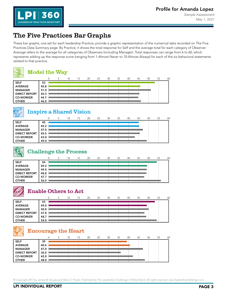Sample Assessment May 1, 2021



# <span id="page-4-0"></span>The Five Practices Bar Graphs

These bar graphs, one set for each leadership Practice, provide a graphic representation of the numerical data recorded on The Five Practices Data Summary page. By Practice, it shows the total response for Self and the average total for each category of Observer. Average refers to the average for all categories of Observers (including Manager). Total responses can range from 6 to 60; which represents adding up the response score (ranging from 1-Almost Never to 10-Almost Always) for each of the six behavioral statements related to that practice.



#### Model the Way

| $\sim$               |      | 10 | 15 | 20 | 25 | 30 | 35 | 40 | 45 | 50 | 55 | 60 |
|----------------------|------|----|----|----|----|----|----|----|----|----|----|----|
| <b>SELF</b>          | 53   |    |    |    |    |    |    |    |    |    |    |    |
| <b>AVERAGE</b>       | 45.8 |    |    |    |    |    |    |    |    |    |    |    |
| <b>MANAGER</b>       | 51.0 |    |    |    |    |    |    |    |    |    |    |    |
| <b>DIRECT REPORT</b> | 45.3 |    |    |    |    |    |    |    |    |    |    |    |
| <b>CO-WORKER</b>     | 44.7 |    |    |    |    |    |    |    |    |    |    |    |
| <b>OTHER</b>         | 46.0 |    |    |    |    |    |    |    |    |    |    |    |



# Inspire a Shared Vision

| $-$                  |      | 10 | 15 | 20 | 25 | 30 | 35 | 40 | 45 | 50 | 55 | 60 |
|----------------------|------|----|----|----|----|----|----|----|----|----|----|----|
| <b>SELF</b>          | 45   |    |    |    |    |    |    |    |    |    |    |    |
| <b>AVERAGE</b>       | 45.2 |    |    |    |    |    |    |    |    |    |    |    |
| <b>MANAGER</b>       | 47.0 |    |    |    |    |    |    |    |    |    |    |    |
| <b>DIRECT REPORT</b> | 45.5 |    |    |    |    |    |    |    |    |    |    |    |
| <b>CO-WORKER</b>     | 43.0 |    |    |    |    |    |    |    |    |    |    |    |
| <b>OTHER</b>         | 49.0 |    |    |    |    |    |    |    |    |    |    |    |

## Challenge the Process

| ____                 |      |  | 10 | 15 | 20 | 25 | 30 | 35 | 40 | 45 | 50 | 55 | 60 |
|----------------------|------|--|----|----|----|----|----|----|----|----|----|----|----|
| <b>SELF</b>          | 54   |  |    |    |    |    |    |    |    |    |    |    |    |
| <b>AVERAGE</b>       | 49.2 |  |    |    |    |    |    |    |    |    |    |    |    |
| <b>MANAGER</b>       | 49.0 |  |    |    |    |    |    |    |    |    |    |    |    |
| <b>DIRECT REPORT</b> | 48.8 |  |    |    |    |    |    |    |    |    |    |    |    |
| <b>CO-WORKER</b>     | 47.7 |  |    |    |    |    |    |    |    |    |    |    |    |
| <b>OTHER</b>         | 56.0 |  |    |    |    |    |    |    |    |    |    |    |    |

# Enable Others to Act

| $\sim$               |      |  | 10 | 15 | 20 | 25 | 30 | 35 | 40 | 45 | 50 | 55 | 60 |
|----------------------|------|--|----|----|----|----|----|----|----|----|----|----|----|
| <b>SELF</b>          | 53   |  |    |    |    |    |    |    |    |    |    |    |    |
| <b>AVERAGE</b>       | 49.0 |  |    |    |    |    |    |    |    |    |    |    |    |
| <b>MANAGER</b>       | 50.0 |  |    |    |    |    |    |    |    |    |    |    |    |
| <b>DIRECT REPORT</b> | 47.8 |  |    |    |    |    |    |    |    |    |    |    |    |
| <b>CO-WORKER</b>     | 48.7 |  |    |    |    |    |    |    |    |    |    |    |    |
| <b>OTHER</b>         | 54.0 |  |    |    |    |    |    |    |    |    |    |    |    |

# Encourage the Heart

| $\sim$               |      |  | 10 | 15 | 20 | 25 | 30 | 35 | 40 | 45 | 50 | 55 | 60 |
|----------------------|------|--|----|----|----|----|----|----|----|----|----|----|----|
| <b>SELF</b>          | 39   |  |    |    |    |    |    |    |    |    |    |    |    |
|                      |      |  |    |    |    |    |    |    |    |    |    |    |    |
| <b>AVERAGE</b>       | 40.6 |  |    |    |    |    |    |    |    |    |    |    |    |
| <b>MANAGER</b>       | 47.0 |  |    |    |    |    |    |    |    |    |    |    |    |
|                      |      |  |    |    |    |    |    |    |    |    |    |    |    |
| <b>DIRECT REPORT</b> | 36.0 |  |    |    |    |    |    |    |    |    |    |    |    |
|                      |      |  |    |    |    |    |    |    |    |    |    |    |    |
| <b>CO-WORKER</b>     | 42.0 |  |    |    |    |    |    |    |    |    |    |    |    |
| <b>OTHER</b>         | 48.0 |  |    |    |    |    |    |    |    |    |    |    |    |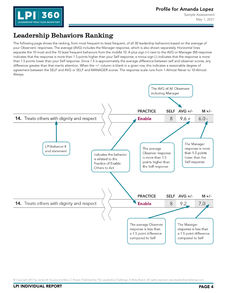

# <span id="page-5-0"></span>Leadership Behaviors Ranking

The following page shows the ranking, from most frequent to least frequent, of all 30 leadership behaviors based on the average of your Observers' responses. The average (AVG) includes the Manager response, which is also shown separately. Horizontal lines separate the 10 most and the 10 least frequent behaviors from the middle 10. A plus sign (+) next to the AVG or Manager (M) response indicates that the response is more than 1.5 points higher than your Self response; a minus sign (-) indicates that the response is more than 1.5 points lower than your Self response. Since 1.5 is approximately the average difference between self and observer scores, any difference greater than that merits attention. When the +/- column is blank in a given row, this indicates a reasonable degree of agreement between the SELF and AVG or SELF and MANAGER scores. The response scale runs from 1-Almost Never to 10-Almost Always.

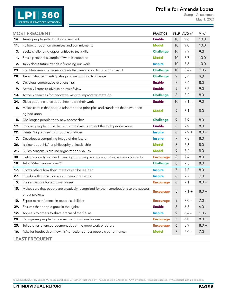## Profile for Amanda Lopez



Sample Assessment May 1, 2021

|     | <b>MOST FREQUENT</b>                                                                    | <b>PRACTICE</b>  |                | SELF AVG +/- | $M +/-$ |
|-----|-----------------------------------------------------------------------------------------|------------------|----------------|--------------|---------|
| 14. | Treats people with dignity and respect                                                  | <b>Enable</b>    | 10             | 9.6          | 10.0    |
| 11. | Follows through on promises and commitments                                             | <b>Model</b>     | 10             | 9.0          | 10.0    |
| 3.  | Seeks challenging opportunities to test skills                                          | <b>Challenge</b> | 10             | 8.9          | 9.0     |
| 1.  | Sets a personal example of what is expected                                             | <b>Model</b>     | 10             | 8.7          | 10.0    |
| 2.  | Talks about future trends influencing our work                                          | <b>Inspire</b>   | 10             | 8.6          | 10.0    |
| 23. | Identifies measurable milestones that keep projects moving forward                      | <b>Challenge</b> | 10             | $8.4 -$      | $7.0 -$ |
| 28. | Takes initiative in anticipating and responding to change                               | <b>Challenge</b> | 9              | 8.4          | 9.0     |
| 4.  | Develops cooperative relationships                                                      | <b>Enable</b>    | 8              | 8.4          | 8.0     |
| 9.  | Actively listens to diverse points of view                                              | <b>Enable</b>    | 9              | 8.2          | 9.0     |
| 13. | Actively searches for innovative ways to improve what we do                             | <b>Challenge</b> | 8              | 8.2          | 8.0     |
| 24. | Gives people choice about how to do their work                                          | <b>Enable</b>    | 10             | $8.1 -$      | 9.0     |
| 6.  | Makes certain that people adhere to the principles and standards that have been         | <b>Model</b>     | 9              | 8.1          | 8.0     |
|     | agreed upon                                                                             |                  |                |              |         |
| 8.  | Challenges people to try new approaches                                                 | <b>Challenge</b> | 9              | 7.9          | 8.0     |
| 19. | Involves people in the decisions that directly impact their job performance             | <b>Enable</b>    | 8              | 7.9          | 8.0     |
| 22. | Paints "big picture" of group aspirations                                               | <b>Inspire</b>   | 6              | $7.9 +$      | $8.0 +$ |
| 7.  | Describes a compelling image of the future                                              | <b>Inspire</b>   | $\overline{7}$ | 7.8          | 8.0     |
| 26. | Is clear about his/her philosophy of leadership                                         | <b>Model</b>     | 8              | 7.6          | 8.0     |
| 21. | Builds consensus around organization's values                                           | <b>Model</b>     | 9              | $7.4 -$      | 8.0     |
| 30. | Gets personally involved in recognizing people and celebrating accomplishments          | <b>Encourage</b> | 8              | 7.4          | 8.0     |
| 18. | Asks "What can we learn?"                                                               | <b>Challenge</b> | 8              | 7.3          | 8.0     |
| 17. | Shows others how their interests can be realized                                        | <b>Inspire</b>   | 7              | 7.3          | 8.0     |
| 27. | Speaks with conviction about meaning of work                                            | <b>Inspire</b>   | 6              | 7.2          | 7.0     |
| 5.  | Praises people for a job well done                                                      | <b>Encourage</b> | 6              | 7.1          | $8.0 +$ |
| 15. | Makes sure that people are creatively recognized for their contributions to the success |                  | 5              | $7.1 +$      | $8.0 +$ |
|     | of our projects                                                                         | <b>Encourage</b> |                |              |         |
| 10. | Expresses confidence in people's abilities                                              | <b>Encourage</b> | 9              | $7.0 -$      | $7.0 -$ |
| 29. | Ensures that people grow in their jobs                                                  | <b>Enable</b>    | 8              | 6.8          | $6.0 -$ |
| 12. | Appeals to others to share dream of the future                                          | <b>Inspire</b>   | 9              | $6.4 -$      | $6.0 -$ |
| 20. | Recognizes people for commitment to shared values                                       | <b>Encourage</b> | 5              | 6.0          | $8.0 +$ |
| 25. | Tells stories of encouragement about the good work of others                            | <b>Encourage</b> | 6              | 5.9          | $8.0 +$ |
| 16. | Asks for feedback on how his/her actions affect people's performance                    | <b>Model</b>     | 7              | $5.0 -$      | 7.0     |
|     | <b>LEAST FREQUENT</b>                                                                   |                  |                |              |         |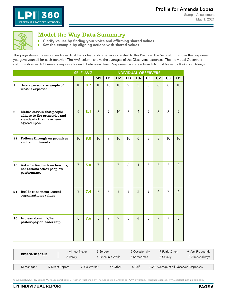

<span id="page-7-0"></span>

#### Model the Way Data Summary

**E** Clarify values by finding your voice and affirming shared values

 $\overline{\mathbb{R}}$ Set the example by aligning actions with shared values

This page shows the responses for each of the six leadership behaviors related to this Practice. The Self column shows the responses you gave yourself for each behavior. The AVG column shows the averages of the Observers responses. The Individual Observers columns show each Observers response for each behavioral item. Responses can range from 1-Almost Never to 10-Almost Always.

|     |                                                                                                      |                | <b>SELF AVG</b> | <b>INDIVIDUAL OBSERVERS</b> |                |                |                |                |                |                |                |                |
|-----|------------------------------------------------------------------------------------------------------|----------------|-----------------|-----------------------------|----------------|----------------|----------------|----------------|----------------|----------------|----------------|----------------|
|     |                                                                                                      |                |                 | M1                          | D <sub>1</sub> | D <sub>2</sub> | D <sub>3</sub> | D <sub>4</sub> | C <sub>1</sub> | C <sub>2</sub> | C <sub>3</sub> | <b>O1</b>      |
| 1.  | Sets a personal example of<br>what is expected                                                       | 10             | 8.7             | 10                          | 10             | 10             | 9              | 5              | 8              | 8              | 8              | 10             |
| 6.  | Makes certain that people<br>adhere to the principles and<br>standards that have been<br>agreed upon | 9              | 8.1             | 8                           | 9              | 10             | 8              | $\overline{4}$ | 9              | 8              | 8              | 9              |
| 11. | Follows through on promises<br>and commitments                                                       | 10             | 9.0             | 10                          | 9              | 10             | 10             | $\overline{6}$ | 8              | 8              | 10             | 10             |
|     | 16. Asks for feedback on how his/<br>her actions affect people's<br>performance                      | $\overline{7}$ | 5.0             | $\overline{7}$              | 6              | $\overline{7}$ | 6              | $\mathbf{1}$   | 5              | 5              | 5              | $\mathfrak{Z}$ |
|     | 21. Builds consensus around<br>organization's values                                                 | 9              | 7.4             | 8                           | 8              | 9              | 9              | 5              | 9              | $\delta$       | $\overline{7}$ | $\overline{6}$ |
|     | 26. Is clear about his/her<br>philosophy of leadership                                               | 8              | 7.6             | 8                           | 9              | 9              | 8              | $\overline{4}$ | 8              | $\overline{7}$ | $\overline{7}$ | 8              |

| <b>RESPONSE SCALE</b> |                 | 1-Almost Never<br>2-Rarely |             | 3-Seldom          | 5-Occasionally | 7-Fairly Often                        | 9-Very Frequently |
|-----------------------|-----------------|----------------------------|-------------|-------------------|----------------|---------------------------------------|-------------------|
|                       |                 |                            |             | 4-Once in a While | 6-Sometimes    | 8-Usually                             | 10-Almost always  |
|                       |                 |                            |             |                   |                |                                       |                   |
| M-Manager             | D-Direct Report |                            | C-Co-Worker | O-Other           | S-Self         | AVG-Average of all Observer Responses |                   |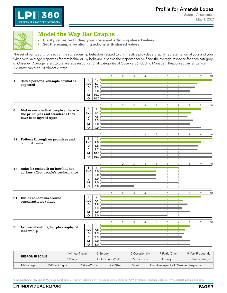Sample Assessment May 1, 2021



<span id="page-8-0"></span>

### Model the Way Bar Graphs

Clarify values by finding your voice and affirming shared values ń.  $\blacksquare$ Set the example by aligning actions with shared values

The set of bar graphs for each of the six leadership behaviors related to this Practice provides a graphic representation of your and your Observers' average responses for that behavior. By behavior, it shows the response for Self and the average response for each category of Observer. Average refers to the average response for all categories of Observers (including Manager). Responses can range from 1-Almost Never to 10-Almost Always.

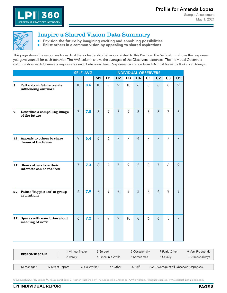<span id="page-9-0"></span>

### Inspire a Shared Vision Data Summary

**Envision the future by imagining exciting and ennobling possibilities** 

 $\blacksquare$ Enlist others in a common vision by appealing to shared aspirations

This page shows the responses for each of the six leadership behaviors related to this Practice. The Self column shows the responses you gave yourself for each behavior. The AVG column shows the averages of the Observers responses. The Individual Observers columns show each Observers response for each behavioral item. Responses can range from 1-Almost Never to 10-Almost Always.

|     |                                                       |                | <b>SELF AVG</b> | <b>INDIVIDUAL OBSERVERS</b> |                |                |                |                |                |                |                |                |
|-----|-------------------------------------------------------|----------------|-----------------|-----------------------------|----------------|----------------|----------------|----------------|----------------|----------------|----------------|----------------|
|     |                                                       |                |                 | M1                          | D <sub>1</sub> | D <sub>2</sub> | D <sub>3</sub> | D <sub>4</sub> | C <sub>1</sub> | C <sub>2</sub> | C <sub>3</sub> | O1             |
| 2.  | Talks about future trends<br>influencing our work     | 10             | 8.6             | 10                          | 9              | 9              | 10             | 6              | 8              | 8              | 8              | 9              |
| 7.  | Describes a compelling image<br>of the future         | $\overline{7}$ | 7.8             | 8                           | 9              | 8              | 9              | 5              | 8              | 8              | $\overline{7}$ | 8              |
|     | 12. Appeals to others to share<br>dream of the future | 9              | 6.4             | 6                           | 6              | $\overline{7}$ | $\overline{7}$ | $\overline{4}$ | $\overline{7}$ | $\overline{7}$ | $\overline{7}$ | $\overline{7}$ |
| 17. | Shows others how their<br>interests can be realized   | $\overline{7}$ | 7.3             | 8                           | $\overline{7}$ | $\overline{7}$ | 9              | 5              | 8              | $\overline{7}$ | 6              | 9              |
|     | 22. Paints "big picture" of group<br>aspirations      | 6              | 7.9             | 8                           | 9              | 8              | 9              | 5              | 8              | 6              | 9              | 9              |
|     | 27. Speaks with conviction about<br>meaning of work   | $\ddot{\circ}$ | 7.2             | $\overline{7}$              | 9              | 9              | 10             | 6              | 6              | 6              | 5              | $\overline{7}$ |

| <b>RESPONSE SCALE</b>        |  | 1-Almost Never |             | 3-Seldom          | 5-Occasionally | 7-Fairly Often                        | 9-Very Frequently |
|------------------------------|--|----------------|-------------|-------------------|----------------|---------------------------------------|-------------------|
|                              |  | 2-Rarely       |             | 4-Once in a While | 6-Sometimes    | 8-Usually                             | 10-Almost always  |
|                              |  |                |             |                   |                |                                       |                   |
| D-Direct Report<br>M-Manager |  |                | C-Co-Worker | O-Other           | S-Self         | AVG-Average of all Observer Responses |                   |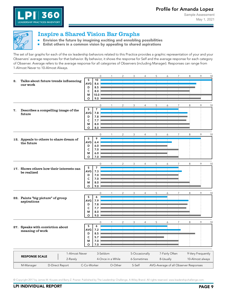<span id="page-10-0"></span>

### Inspire a Shared Vision Bar Graphs

Envision the future by imagining exciting and ennobling possibilities  $\blacksquare$ **Enlist others in a common vision by appealing to shared aspirations** 

The set of bar graphs for each of the six leadership behaviors related to this Practice provides a graphic representation of your and your Observers' average responses for that behavior. By behavior, it shows the response for Self and the average response for each category of Observer. Average refers to the average response for all categories of Observers (including Manager). Responses can range from 1-Almost Never to 10-Almost Always.

|    |                                               |                        |                | $\mathbf 0$  |                   | 2              | 3              | 4              | 5              | 6         | 7 | 8                                                              | 9                                                            | 10 |  |  |
|----|-----------------------------------------------|------------------------|----------------|--------------|-------------------|----------------|----------------|----------------|----------------|-----------|---|----------------------------------------------------------------|--------------------------------------------------------------|----|--|--|
| 2. | Talks about future trends influencing         | S                      | 10             |              |                   |                |                |                |                |           |   |                                                                |                                                              |    |  |  |
|    | our work                                      | AVG                    | 8.6            |              |                   |                |                |                |                |           |   |                                                                |                                                              |    |  |  |
|    |                                               | D                      | 8.5            |              |                   |                |                |                |                |           |   |                                                                |                                                              |    |  |  |
|    |                                               | $\mathsf{C}$           | 8.0            |              |                   |                |                |                |                |           |   |                                                                |                                                              |    |  |  |
|    |                                               | м                      | 10.0           |              |                   |                |                |                |                |           |   |                                                                |                                                              |    |  |  |
|    |                                               | O                      | 9.0            |              |                   |                |                |                |                |           |   |                                                                |                                                              |    |  |  |
|    |                                               |                        |                | $\mathbf 0$  |                   | 2              | 3              | $\overline{4}$ | 5              | 6         |   |                                                                | 9                                                            | 10 |  |  |
|    |                                               | S                      | $\overline{7}$ |              |                   |                |                |                |                |           |   |                                                                |                                                              |    |  |  |
| 7. | Describes a compelling image of the<br>future | AVG                    | 7.8            |              |                   |                |                |                |                |           |   |                                                                |                                                              |    |  |  |
|    |                                               | D                      | 7.8            |              |                   |                |                |                |                |           |   |                                                                |                                                              |    |  |  |
|    |                                               | $\mathsf{C}$           | 7.7            |              |                   |                |                |                |                |           |   |                                                                |                                                              |    |  |  |
|    |                                               | М                      | 8.0            |              |                   |                |                |                |                |           |   |                                                                |                                                              |    |  |  |
|    |                                               | $\circ$                | 8.0            |              |                   |                |                |                |                |           |   |                                                                |                                                              |    |  |  |
|    |                                               |                        |                |              |                   |                |                |                |                |           |   |                                                                |                                                              |    |  |  |
|    |                                               |                        |                | $\mathbf{0}$ |                   | $\mathfrak{p}$ | 3              | 4              | 5              | 6         | 7 |                                                                |                                                              | 10 |  |  |
|    | 12. Appeals to others to share dream of       | S                      | 9              |              |                   |                |                |                |                |           |   |                                                                |                                                              |    |  |  |
|    | the future                                    | AVG                    | 6.4            |              |                   |                |                |                |                |           |   |                                                                |                                                              |    |  |  |
|    |                                               | D<br>$\mathsf{C}$      | 6.0            |              |                   |                |                |                |                |           |   |                                                                |                                                              |    |  |  |
|    |                                               |                        | 7.0            |              |                   |                |                |                |                |           |   |                                                                |                                                              |    |  |  |
|    |                                               | М<br>$\circ$           | 6.0<br>7.0     |              |                   |                |                |                |                |           |   |                                                                |                                                              |    |  |  |
|    |                                               |                        |                |              |                   |                |                |                |                |           |   |                                                                |                                                              |    |  |  |
|    |                                               |                        |                | $\mathbf 0$  |                   | $\overline{2}$ | 3              | $\overline{4}$ | 5              | 6         | 7 | 8                                                              | 9                                                            |    |  |  |
|    | 17. Shows others how their interests can      | S                      | $\overline{7}$ |              |                   |                |                |                |                |           |   |                                                                |                                                              |    |  |  |
|    | be realized                                   | AVG I                  | 7.3            |              |                   |                |                |                |                |           |   | 8<br>9<br>8<br>8<br>8<br>AVG-Average of all Observer Responses |                                                              |    |  |  |
|    |                                               | D                      | 7.0            |              |                   |                |                |                |                |           |   |                                                                |                                                              |    |  |  |
|    |                                               | $\mathsf{C}$           | 7.0            |              |                   |                |                |                |                |           |   |                                                                |                                                              |    |  |  |
|    |                                               | м                      | 8.0            |              |                   |                |                |                |                |           |   |                                                                |                                                              |    |  |  |
|    |                                               | O                      | 9.0            |              |                   |                |                |                |                |           |   |                                                                |                                                              |    |  |  |
|    |                                               |                        |                |              |                   |                |                |                |                |           |   |                                                                |                                                              |    |  |  |
|    |                                               | $\sf S$                | 6              | $\mathbf 0$  |                   | $\overline{c}$ | 3              | $\overline{4}$ | 5              | 6         | 7 |                                                                |                                                              |    |  |  |
|    | 22. Paints "big picture" of group             | AVG                    | 7.9            |              |                   |                |                |                |                |           |   |                                                                |                                                              |    |  |  |
|    | aspirations                                   | D                      | 7.8            |              |                   |                |                |                |                |           |   |                                                                |                                                              |    |  |  |
|    |                                               | $\mathsf{C}$           | 7.7            |              |                   |                |                |                |                |           |   |                                                                |                                                              |    |  |  |
|    |                                               | М                      | 8.0            |              |                   |                |                |                |                |           |   |                                                                |                                                              |    |  |  |
|    |                                               | $\circ$                | 9.0            |              |                   |                |                |                |                |           |   |                                                                |                                                              |    |  |  |
|    |                                               |                        |                |              |                   |                |                |                |                |           |   |                                                                |                                                              |    |  |  |
|    |                                               |                        |                | $\mathbf 0$  |                   | $\mathfrak{p}$ | 3              | 4              | 5              | 6         |   |                                                                | 9                                                            |    |  |  |
|    | 27. Speaks with conviction about              | S                      | 6              |              |                   |                |                |                |                |           |   |                                                                |                                                              |    |  |  |
|    | meaning of work                               | AVG                    | 7.2            |              |                   |                |                |                | $\mathbf{1}$   |           |   |                                                                |                                                              |    |  |  |
|    |                                               | D                      | 8.5            |              |                   |                |                |                |                |           |   |                                                                |                                                              |    |  |  |
|    |                                               | $\mathsf{C}$           | 5.7            |              |                   |                |                |                |                |           |   |                                                                |                                                              |    |  |  |
|    |                                               | М                      | 7.0            |              |                   |                |                |                |                |           |   |                                                                |                                                              |    |  |  |
|    |                                               | $\circ$                | 7.0            |              |                   |                |                |                |                |           |   |                                                                |                                                              |    |  |  |
|    |                                               |                        |                |              |                   |                |                |                |                |           |   |                                                                |                                                              |    |  |  |
|    | 1-Almost Never<br><b>RESPONSE SCALE</b>       | 3-Seldom               |                |              |                   |                | 5-Occasionally |                | 7-Fairly Often |           |   |                                                                |                                                              |    |  |  |
|    | 2-Rarely                                      |                        |                |              | 4-Once in a While |                | 6-Sometimes    |                |                | 8-Usually |   |                                                                |                                                              |    |  |  |
|    | D-Direct Report<br>M-Manager                  | C-Co-Worker<br>O-Other |                |              |                   |                | S-Self         |                |                |           |   |                                                                | 10<br>9<br>10<br>10<br>9-Very Frequently<br>10-Almost always |    |  |  |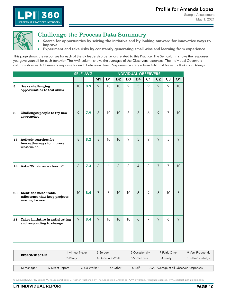

<span id="page-11-0"></span>

#### Challenge the Process Data Summary

**E** Search for opportunities by seizing the initiative and by looking outward for innovative ways to improve

Ē. Experiment and take risks by constantly generating small wins and learning from experience

This page shows the responses for each of the six leadership behaviors related to this Practice. The Self column shows the responses you gave yourself for each behavior. The AVG column shows the averages of the Observers responses. The Individual Observers columns show each Observers response for each behavioral item. Responses can range from 1-Almost Never to 10-Almost Always.

|    |                                                                              |    | <b>SELF AVG</b> |                | <b>INDIVIDUAL OBSERVERS</b> |                |                |                |                |                |                |    |
|----|------------------------------------------------------------------------------|----|-----------------|----------------|-----------------------------|----------------|----------------|----------------|----------------|----------------|----------------|----|
|    |                                                                              |    |                 | M1             | D <sub>1</sub>              | D <sub>2</sub> | D <sub>3</sub> | D <sub>4</sub> | C <sub>1</sub> | C <sub>2</sub> | C <sub>3</sub> | O1 |
| 3. | Seeks challenging<br>opportunities to test skills                            | 10 | 8.9             | 9              | 10                          | 10             | 9              | 5              | 9              | 9              | 9              | 10 |
| 8. | Challenges people to try new<br>approaches                                   | 9  | 7.9             | 8              | 10                          | 10             | 8              | $\overline{3}$ | 6              | 9              | $\overline{7}$ | 10 |
|    | 13. Actively searches for<br>innovative ways to improve<br>what we do        | 8  | 8.2             | 8              | 10                          | 10             | 9              | 5              | 9              | 9              | 5              | 9  |
|    | 18. Asks "What can we learn?"                                                | 8  | 7.3             | 8              | 6                           | $\,8\,$        | 8              | $\overline{4}$ | 8              | $\overline{7}$ | $\overline{7}$ | 10 |
|    | 23. Identifies measurable<br>milestones that keep projects<br>moving forward | 10 | 8.4             | $\overline{7}$ | 8                           | 10             | 10             | 6              | 9              | 8              | 10             | 8  |
|    | 28. Takes initiative in anticipating<br>and responding to change             | 9  | 8.4             | 9              | 10                          | 10             | 10             | 6              | $\overline{7}$ | 9              | 6              | 9  |

|                              |  | 1-Almost Never | 3-Seldom          | 5-Occasionally | 7-Fairly Often                        | 9-Very Frequently |
|------------------------------|--|----------------|-------------------|----------------|---------------------------------------|-------------------|
| <b>RESPONSE SCALE</b>        |  | 2-Rarely       | 4-Once in a While | 6-Sometimes    | 8-Usually                             | 10-Almost always  |
|                              |  |                |                   |                |                                       |                   |
| D-Direct Report<br>M-Manager |  | C-Co-Worker    | O-Other           | S-Self         | AVG-Average of all Observer Responses |                   |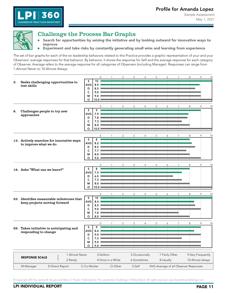<span id="page-12-0"></span>

360

**LEADERSHIP PRACTICES INVENTORY** 

#### Challenge the Process Bar Graphs

- Search for opportunities by seizing the initiative and by looking outward for innovative ways to  $\overline{\phantom{a}}$ improve
- $\blacksquare$ Experiment and take risks by constantly generating small wins and learning from experience

The set of bar graphs for each of the six leadership behaviors related to this Practice provides a graphic representation of your and your Observers' average responses for that behavior. By behavior, it shows the response for Self and the average response for each category of Observer. Average refers to the average response for all categories of Observers (including Manager). Responses can range from 1-Almost Never to 10-Almost Always.

|    |                                           |                       | $\mathbf 0$      | -1                | $\overline{c}$ | 3              | $\overline{4}$ | 5              | 6         | $\overline{7}$ | 8                                     | 9                 | 10 |
|----|-------------------------------------------|-----------------------|------------------|-------------------|----------------|----------------|----------------|----------------|-----------|----------------|---------------------------------------|-------------------|----|
| З. | Seeks challenging opportunities to        | $\sf S$               | 10               |                   |                |                |                |                |           |                |                                       |                   |    |
|    | test skills                               | <b>AVG</b>            | 8.9              |                   |                |                |                |                |           |                |                                       |                   |    |
|    |                                           | D<br>$\mathsf{C}$     | 8.5<br>9.0       |                   |                |                |                |                |           |                |                                       |                   |    |
|    |                                           | М                     | 9.0              |                   |                |                |                |                |           |                |                                       |                   |    |
|    |                                           | $\circ$               | 10.0             |                   |                |                |                |                |           |                |                                       |                   |    |
|    |                                           |                       |                  |                   |                |                |                |                |           |                |                                       |                   |    |
|    |                                           | S                     | $\mathbf 0$<br>9 |                   | 2              | 3              | $\overline{4}$ | 5              | 6         | $\overline{7}$ | 8                                     | 9                 | 10 |
| 8. | Challenges people to try new              | <b>AVG</b>            | 7.9              |                   |                |                |                |                |           |                |                                       |                   |    |
|    | approaches                                | D                     | 7.8              |                   |                |                | $\mathbb{R}^2$ | $\pm$          |           |                |                                       |                   |    |
|    |                                           | $\mathsf{C}$          | 7.3              |                   |                |                |                |                |           |                |                                       |                   |    |
|    |                                           | M                     | 8.0              |                   |                |                |                |                |           |                |                                       |                   |    |
|    |                                           | $\circ$               | 10.0             |                   |                |                |                |                |           |                |                                       |                   |    |
|    |                                           |                       | $\mathbf{0}$     | 1                 | $\overline{2}$ | 3              | $\overline{4}$ | 5              | 6         | $\overline{7}$ | 8                                     | 9                 | 10 |
|    | 13. Actively searches for innovative ways | S                     | 8                |                   |                |                |                |                |           |                |                                       |                   |    |
|    | to improve what we do                     | <b>AVG</b>            | 8.2              |                   |                |                |                |                |           |                |                                       |                   |    |
|    |                                           | D                     | 8.5              |                   |                |                |                |                |           |                |                                       |                   |    |
|    |                                           | C                     | 7.7              |                   |                |                |                |                |           |                |                                       |                   |    |
|    |                                           | М<br>$\circ$          | 8.0<br>9.0       |                   |                |                |                |                |           |                |                                       |                   |    |
|    |                                           |                       |                  |                   |                |                |                |                |           |                |                                       |                   |    |
|    |                                           |                       | $\mathbf 0$      | $\mathbf{1}$      | $\overline{2}$ | 3              | $\overline{4}$ | 5              | 6         | 7              | 8                                     | 9                 | 10 |
|    | 18. Asks "What can we learn?"             | $\sf S$<br><b>AVG</b> | 8                |                   |                |                |                |                |           |                |                                       |                   |    |
|    |                                           | D                     | 7.3<br>6.5       |                   |                |                |                |                |           |                |                                       |                   |    |
|    |                                           | $\mathsf{C}$          | 7.3              |                   |                |                |                |                |           |                |                                       |                   |    |
|    |                                           | М                     | 8.0              |                   |                |                | ×.             | $\mathbf{L}$   |           |                |                                       |                   |    |
|    |                                           | O                     | 10.0             |                   |                |                |                |                |           |                |                                       |                   |    |
|    |                                           |                       | $\Omega$         | 1                 | $\overline{2}$ | 3              | $\overline{4}$ | 5              | 6         | $\overline{7}$ | 8                                     | 9                 | 10 |
|    | 23. Identifies measurable milestones that | S                     | 10               |                   |                |                |                |                |           |                |                                       |                   |    |
|    | keep projects moving forward              | <b>AVG</b>            | 8.4              |                   |                | $\mathbb{R}^n$ | $\mathbf{I}$   | $\mathbf{I}$   |           |                |                                       |                   |    |
|    |                                           | D                     | 8.5              |                   |                |                |                |                |           |                |                                       |                   |    |
|    |                                           | $\mathsf{C}$          | 9.0              |                   |                |                |                |                |           |                |                                       |                   |    |
|    |                                           | М<br>O                | 7.0<br>8.0       |                   |                |                |                |                |           |                |                                       |                   |    |
|    |                                           |                       |                  |                   |                |                |                |                |           |                |                                       |                   |    |
|    |                                           |                       | $\mathbf{0}$     |                   | 2              | 3              | 4              | 5              | 6         | $\overline{7}$ | 8                                     | 9                 | 10 |
|    | 28. Takes initiative in anticipating and  | S<br><b>AVG</b>       | 9<br>8.4         |                   |                |                |                |                |           |                |                                       |                   |    |
|    | responding to change                      | D                     | 9.0              |                   |                |                |                |                |           |                |                                       |                   |    |
|    |                                           | $\mathsf{C}$          | 7.3              |                   |                |                |                |                |           |                |                                       |                   |    |
|    |                                           | М                     | 9.0              |                   |                |                |                |                |           |                |                                       |                   |    |
|    |                                           | $\circ$               | 9.0              |                   |                |                |                |                |           |                |                                       |                   |    |
|    |                                           |                       |                  |                   |                |                |                |                |           |                |                                       |                   |    |
|    | 1-Almost Never<br><b>RESPONSE SCALE</b>   |                       | 3-Seldom         |                   |                |                | 5-Occasionally | 7-Fairly Often |           |                |                                       | 9-Very Frequently |    |
|    | 2-Rarely                                  |                       |                  | 4-Once in a While |                | 6-Sometimes    |                |                | 8-Usually |                |                                       | 10-Almost always  |    |
|    | D-Direct Report<br>M-Manager              | C-Co-Worker           |                  | O-Other           |                | S-Self         |                |                |           |                | AVG-Average of all Observer Responses |                   |    |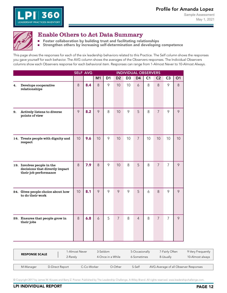<span id="page-13-0"></span>

#### Enable Others to Act Data Summary

- **Foster collaboration by building trust and facilitating relationships**
- $\blacksquare$ Strengthen others by increasing self-determination and developing competence

This page shows the responses for each of the six leadership behaviors related to this Practice. The Self column shows the responses you gave yourself for each behavior. The AVG column shows the averages of the Observers responses. The Individual Observers columns show each Observers response for each behavioral item. Responses can range from 1-Almost Never to 10-Almost Always.

|     |                                                                                       |    | <b>SELF AVG</b> | <b>INDIVIDUAL OBSERVERS</b> |                |                |                |                |                |                |                |    |
|-----|---------------------------------------------------------------------------------------|----|-----------------|-----------------------------|----------------|----------------|----------------|----------------|----------------|----------------|----------------|----|
|     |                                                                                       |    |                 | M1                          | D <sub>1</sub> | D <sub>2</sub> | D <sub>3</sub> | D <sub>4</sub> | C <sub>1</sub> | C <sub>2</sub> | C <sub>3</sub> | O1 |
| 4.  | Develops cooperative<br>relationships                                                 | 8  | 8.4             | 8                           | 9              | 10             | 10             | 6              | 8              | 8              | 9              | 8  |
| 9.  | Actively listens to diverse<br>points of view                                         | 9  | 8.2             | 9                           | 8              | 10             | 9              | 5              | 8              | $\overline{7}$ | 9              | 9  |
|     | 14. Treats people with dignity and<br>respect                                         | 10 | 9.6             | 10                          | 9              | 10             | 10             | $\overline{7}$ | 10             | 10             | 10             | 10 |
|     | 19. Involves people in the<br>decisions that directly impact<br>their job performance | 8  | 7.9             | 8                           | 9              | 10             | 8              | 5              | 8              | $\overline{7}$ | $\overline{7}$ | 9  |
| 24. | Gives people choice about how<br>to do their work                                     | 10 | 8.1             | 9                           | 9              | 9              | 9              | 5              | 6              | 8              | 9              | 9  |
|     | 29. Ensures that people grow in<br>their jobs                                         | 8  | 6.8             | 6                           | 5              | $\overline{7}$ | 8              | $\overline{4}$ | 8              | $\overline{7}$ | $\overline{7}$ | 9  |

| <b>RESPONSE SCALE</b>        |  | 1-Almost Never |             | 3-Seldom          | 5-Occasionally | 7-Fairly Often                        | 9-Very Frequently |
|------------------------------|--|----------------|-------------|-------------------|----------------|---------------------------------------|-------------------|
|                              |  | 2-Rarely       |             | 4-Once in a While | 6-Sometimes    | 8-Usually                             | 10-Almost always  |
|                              |  |                |             |                   |                |                                       |                   |
| D-Direct Report<br>M-Manager |  |                | C-Co-Worker | O-Other           | S-Self         | AVG-Average of all Observer Responses |                   |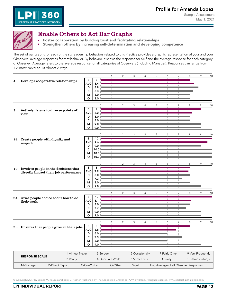<span id="page-14-0"></span>

360

**LEADERSHIP PRACTICES INVENTORY** 

n.

#### Enable Others to Act Bar Graphs

- Foster collaboration by building trust and facilitating relationships
- Strengthen others by increasing self-determination and developing competence m.

The set of bar graphs for each of the six leadership behaviors related to this Practice provides a graphic representation of your and your Observers' average responses for that behavior. By behavior, it shows the response for Self and the average response for each category of Observer. Average refers to the average response for all categories of Observers (including Manager). Responses can range from 1-Almost Never to 10-Almost Always.

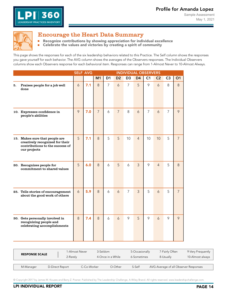<span id="page-15-0"></span>

#### Encourage the Heart Data Summary

Recognize contributions by showing appreciation for individual excellence  $\overline{\mathbb{L}}$ 

 $\blacksquare$ Celebrate the values and victories by creating a spirit of community

This page shows the responses for each of the six leadership behaviors related to this Practice. The Self column shows the responses you gave yourself for each behavior. The AVG column shows the averages of the Observers responses. The Individual Observers columns show each Observers response for each behavioral item. Responses can range from 1-Almost Never to 10-Almost Always.

|    |                                                                                                                      | <b>SELF AVG</b> |     |                | <b>INDIVIDUAL OBSERVERS</b> |                |                |                |                |                |                |                |
|----|----------------------------------------------------------------------------------------------------------------------|-----------------|-----|----------------|-----------------------------|----------------|----------------|----------------|----------------|----------------|----------------|----------------|
|    |                                                                                                                      |                 |     | M1             | D <sub>1</sub>              | D <sub>2</sub> | D <sub>3</sub> | D <sub>4</sub> | C <sub>1</sub> | C <sub>2</sub> | C <sub>3</sub> | <b>O1</b>      |
| 5. | Praises people for a job well<br>done                                                                                | 6               | 7.1 | 8              | $\overline{7}$              | 6              | $\overline{7}$ | 5              | 9              | 6              | 8              | 8              |
|    | 10. Expresses confidence in<br>people's abilities                                                                    | 9               | 7.0 | $\overline{7}$ | 6                           | $\overline{7}$ | 8              | $\delta$       | $\overline{7}$ | $\delta$       | $\overline{7}$ | 9              |
|    | 15. Makes sure that people are<br>creatively recognized for their<br>contributions to the success of<br>our projects | 5               | 7.1 | 8              | 5                           | 5              | 10             | $\overline{4}$ | 10             | 10             | 5              | $\overline{7}$ |
|    | 20. Recognizes people for<br>commitment to shared values                                                             | 5               | 6.0 | 8              | $\delta$                    | 5              | 6              | $\overline{3}$ | 9              | $\overline{4}$ | 5              | 8              |
|    | 25. Tells stories of encouragement<br>about the good work of others                                                  | 6               | 5.9 | 8              | 6                           | 6              | $\overline{7}$ | $\overline{3}$ | 5              | $\delta$       | 5              | $\overline{7}$ |
|    | 30. Gets personally involved in<br>recognizing people and<br>celebrating accomplishments                             | 8               | 7.4 | 8              | $\delta$                    | 6              | 9              | 5              | 9              | 6              | 9              | 9              |

| <b>RESPONSE SCALE</b>        |  | 1-Almost Never | 3-Seldom          | 5-Occasionally | 7-Fairly Often | 9-Very Frequently                     |
|------------------------------|--|----------------|-------------------|----------------|----------------|---------------------------------------|
|                              |  | 2-Rarely       | 4-Once in a While | 6-Sometimes    | 8-Usually      | 10-Almost always                      |
|                              |  |                |                   |                |                |                                       |
| D-Direct Report<br>M-Manager |  | C-Co-Worker    | O-Other           | S-Self         |                | AVG-Average of all Observer Responses |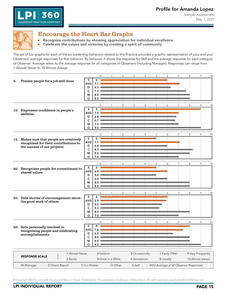

<span id="page-16-0"></span>

360

LEADERSHIP PRACTICES INVENTORY

### Encourage the Heart Bar Graphs

Recognize contributions by showing appreciation for individual excellence H Celebrate the values and victories by creating a spirit of community  $\blacksquare$ 

The set of bar graphs for each of the six leadership behaviors related to this Practice provides a graphic representation of your and your Observers' average responses for that behavior. By behavior, it shows the response for Self and the average response for each category of Observer. Average refers to the average response for all categories of Observers (including Manager). Responses can range from 1-Almost Never to 10-Almost Always.